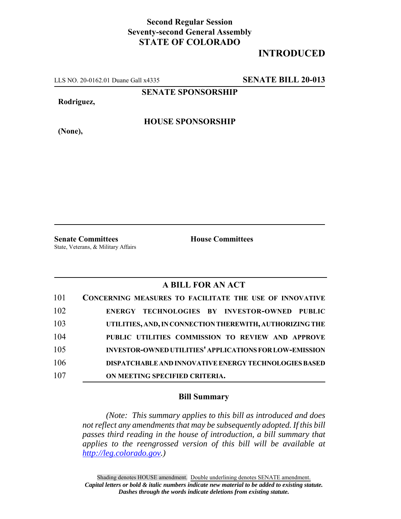## **Second Regular Session Seventy-second General Assembly STATE OF COLORADO**

# **INTRODUCED**

LLS NO. 20-0162.01 Duane Gall x4335 **SENATE BILL 20-013**

**SENATE SPONSORSHIP**

**Rodriguez,**

**HOUSE SPONSORSHIP**

**(None),**

**Senate Committees House Committees** State, Veterans, & Military Affairs

### **A BILL FOR AN ACT**

| 101 | <b>CONCERNING MEASURES TO FACILITATE THE USE OF INNOVATIVE</b> |
|-----|----------------------------------------------------------------|
| 102 | ENERGY TECHNOLOGIES BY INVESTOR-OWNED PUBLIC                   |
| 103 | UTILITIES, AND, IN CONNECTION THEREWITH, AUTHORIZING THE       |
| 104 | PUBLIC UTILITIES COMMISSION TO REVIEW AND APPROVE              |
| 105 | <b>INVESTOR-OWNED UTILITIES' APPLICATIONS FOR LOW-EMISSION</b> |
| 106 | <b>DISPATCHABLE AND INNOVATIVE ENERGY TECHNOLOGIES BASED</b>   |
| 107 | ON MEETING SPECIFIED CRITERIA.                                 |

#### **Bill Summary**

*(Note: This summary applies to this bill as introduced and does not reflect any amendments that may be subsequently adopted. If this bill passes third reading in the house of introduction, a bill summary that applies to the reengrossed version of this bill will be available at http://leg.colorado.gov.)*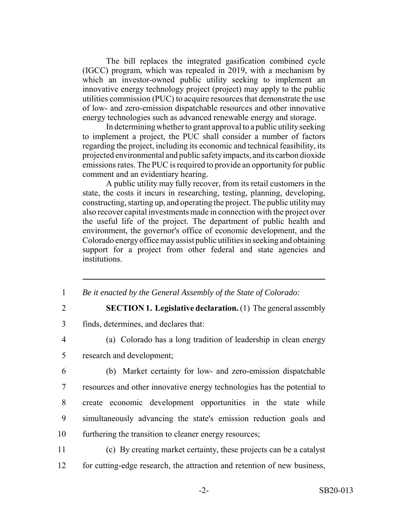The bill replaces the integrated gasification combined cycle (IGCC) program, which was repealed in 2019, with a mechanism by which an investor-owned public utility seeking to implement an innovative energy technology project (project) may apply to the public utilities commission (PUC) to acquire resources that demonstrate the use of low- and zero-emission dispatchable resources and other innovative energy technologies such as advanced renewable energy and storage.

In determining whether to grant approval to a public utility seeking to implement a project, the PUC shall consider a number of factors regarding the project, including its economic and technical feasibility, its projected environmental and public safety impacts, and its carbon dioxide emissions rates. The PUC is required to provide an opportunity for public comment and an evidentiary hearing.

A public utility may fully recover, from its retail customers in the state, the costs it incurs in researching, testing, planning, developing, constructing, starting up, and operating the project. The public utility may also recover capital investments made in connection with the project over the useful life of the project. The department of public health and environment, the governor's office of economic development, and the Colorado energy office may assist public utilities in seeking and obtaining support for a project from other federal and state agencies and institutions.

- 1 *Be it enacted by the General Assembly of the State of Colorado:*
- 

#### 2 **SECTION 1. Legislative declaration.** (1) The general assembly

- 3 finds, determines, and declares that:
- 4 (a) Colorado has a long tradition of leadership in clean energy
- 5 research and development;
- 
- 6 (b) Market certainty for low- and zero-emission dispatchable 7 resources and other innovative energy technologies has the potential to 8 create economic development opportunities in the state while 9 simultaneously advancing the state's emission reduction goals and 10 furthering the transition to cleaner energy resources;
- 11 (c) By creating market certainty, these projects can be a catalyst 12 for cutting-edge research, the attraction and retention of new business,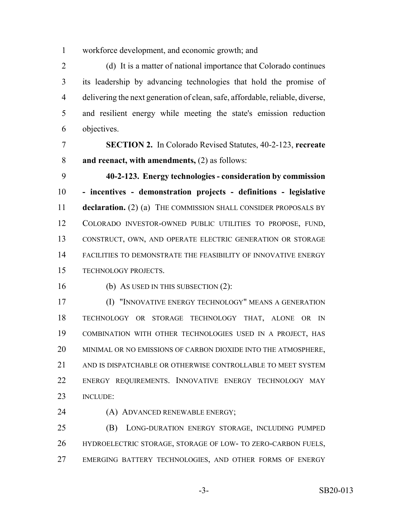workforce development, and economic growth; and

 (d) It is a matter of national importance that Colorado continues its leadership by advancing technologies that hold the promise of delivering the next generation of clean, safe, affordable, reliable, diverse, and resilient energy while meeting the state's emission reduction objectives.

 **SECTION 2.** In Colorado Revised Statutes, 40-2-123, **recreate and reenact, with amendments,** (2) as follows:

 **40-2-123. Energy technologies - consideration by commission - incentives - demonstration projects - definitions - legislative declaration.** (2) (a) THE COMMISSION SHALL CONSIDER PROPOSALS BY COLORADO INVESTOR-OWNED PUBLIC UTILITIES TO PROPOSE, FUND, CONSTRUCT, OWN, AND OPERATE ELECTRIC GENERATION OR STORAGE FACILITIES TO DEMONSTRATE THE FEASIBILITY OF INNOVATIVE ENERGY TECHNOLOGY PROJECTS.

16 (b) As USED IN THIS SUBSECTION (2):

 (I) "INNOVATIVE ENERGY TECHNOLOGY" MEANS A GENERATION TECHNOLOGY OR STORAGE TECHNOLOGY THAT, ALONE OR IN COMBINATION WITH OTHER TECHNOLOGIES USED IN A PROJECT, HAS MINIMAL OR NO EMISSIONS OF CARBON DIOXIDE INTO THE ATMOSPHERE, 21 AND IS DISPATCHABLE OR OTHERWISE CONTROLLABLE TO MEET SYSTEM ENERGY REQUIREMENTS. INNOVATIVE ENERGY TECHNOLOGY MAY INCLUDE:

24 (A) ADVANCED RENEWABLE ENERGY;

 (B) LONG-DURATION ENERGY STORAGE, INCLUDING PUMPED HYDROELECTRIC STORAGE, STORAGE OF LOW- TO ZERO-CARBON FUELS, EMERGING BATTERY TECHNOLOGIES, AND OTHER FORMS OF ENERGY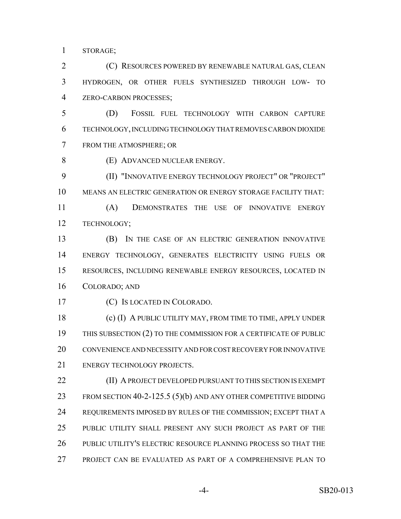STORAGE;

 (C) RESOURCES POWERED BY RENEWABLE NATURAL GAS, CLEAN HYDROGEN, OR OTHER FUELS SYNTHESIZED THROUGH LOW- TO ZERO-CARBON PROCESSES;

 (D) FOSSIL FUEL TECHNOLOGY WITH CARBON CAPTURE TECHNOLOGY, INCLUDING TECHNOLOGY THAT REMOVES CARBON DIOXIDE FROM THE ATMOSPHERE; OR

(E) ADVANCED NUCLEAR ENERGY.

 (II) "INNOVATIVE ENERGY TECHNOLOGY PROJECT" OR "PROJECT" MEANS AN ELECTRIC GENERATION OR ENERGY STORAGE FACILITY THAT:

 (A) DEMONSTRATES THE USE OF INNOVATIVE ENERGY TECHNOLOGY;

 (B) IN THE CASE OF AN ELECTRIC GENERATION INNOVATIVE ENERGY TECHNOLOGY, GENERATES ELECTRICITY USING FUELS OR RESOURCES, INCLUDING RENEWABLE ENERGY RESOURCES, LOCATED IN COLORADO; AND

(C) IS LOCATED IN COLORADO.

 (c) (I) A PUBLIC UTILITY MAY, FROM TIME TO TIME, APPLY UNDER THIS SUBSECTION (2) TO THE COMMISSION FOR A CERTIFICATE OF PUBLIC CONVENIENCE AND NECESSITY AND FOR COST RECOVERY FOR INNOVATIVE ENERGY TECHNOLOGY PROJECTS.

**(II) A PROJECT DEVELOPED PURSUANT TO THIS SECTION IS EXEMPT** 23 FROM SECTION 40-2-125.5 (5)(b) AND ANY OTHER COMPETITIVE BIDDING REQUIREMENTS IMPOSED BY RULES OF THE COMMISSION; EXCEPT THAT A PUBLIC UTILITY SHALL PRESENT ANY SUCH PROJECT AS PART OF THE PUBLIC UTILITY'S ELECTRIC RESOURCE PLANNING PROCESS SO THAT THE PROJECT CAN BE EVALUATED AS PART OF A COMPREHENSIVE PLAN TO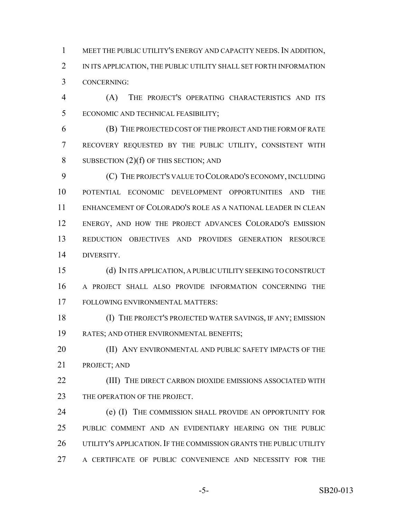MEET THE PUBLIC UTILITY'S ENERGY AND CAPACITY NEEDS. IN ADDITION, 2 IN ITS APPLICATION, THE PUBLIC UTILITY SHALL SET FORTH INFORMATION CONCERNING:

 (A) THE PROJECT'S OPERATING CHARACTERISTICS AND ITS ECONOMIC AND TECHNICAL FEASIBILITY;

 (B) THE PROJECTED COST OF THE PROJECT AND THE FORM OF RATE RECOVERY REQUESTED BY THE PUBLIC UTILITY, CONSISTENT WITH 8 SUBSECTION  $(2)(f)$  OF THIS SECTION; AND

 (C) THE PROJECT'S VALUE TO COLORADO'S ECONOMY, INCLUDING POTENTIAL ECONOMIC DEVELOPMENT OPPORTUNITIES AND THE ENHANCEMENT OF COLORADO'S ROLE AS A NATIONAL LEADER IN CLEAN ENERGY, AND HOW THE PROJECT ADVANCES COLORADO'S EMISSION REDUCTION OBJECTIVES AND PROVIDES GENERATION RESOURCE DIVERSITY.

 (d) IN ITS APPLICATION, A PUBLIC UTILITY SEEKING TO CONSTRUCT A PROJECT SHALL ALSO PROVIDE INFORMATION CONCERNING THE FOLLOWING ENVIRONMENTAL MATTERS:

 (I) THE PROJECT'S PROJECTED WATER SAVINGS, IF ANY; EMISSION RATES; AND OTHER ENVIRONMENTAL BENEFITS;

**(II) ANY ENVIRONMENTAL AND PUBLIC SAFETY IMPACTS OF THE** PROJECT; AND

**(III)** THE DIRECT CARBON DIOXIDE EMISSIONS ASSOCIATED WITH 23 THE OPERATION OF THE PROJECT.

 (e) (I) THE COMMISSION SHALL PROVIDE AN OPPORTUNITY FOR PUBLIC COMMENT AND AN EVIDENTIARY HEARING ON THE PUBLIC UTILITY'S APPLICATION. IF THE COMMISSION GRANTS THE PUBLIC UTILITY A CERTIFICATE OF PUBLIC CONVENIENCE AND NECESSITY FOR THE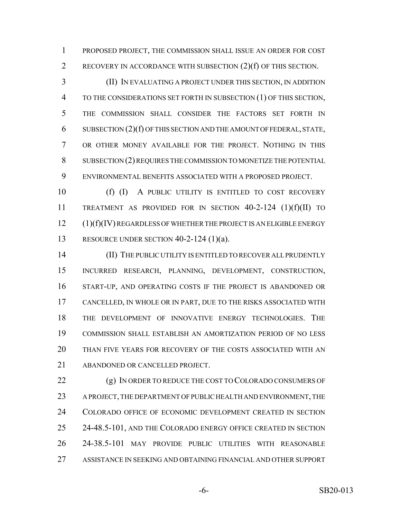PROPOSED PROJECT, THE COMMISSION SHALL ISSUE AN ORDER FOR COST RECOVERY IN ACCORDANCE WITH SUBSECTION (2)(f) OF THIS SECTION.

 (II) IN EVALUATING A PROJECT UNDER THIS SECTION, IN ADDITION TO THE CONSIDERATIONS SET FORTH IN SUBSECTION (1) OF THIS SECTION, THE COMMISSION SHALL CONSIDER THE FACTORS SET FORTH IN SUBSECTION (2)(f) OF THIS SECTION AND THE AMOUNT OF FEDERAL, STATE, OR OTHER MONEY AVAILABLE FOR THE PROJECT. NOTHING IN THIS SUBSECTION (2) REQUIRES THE COMMISSION TO MONETIZE THE POTENTIAL ENVIRONMENTAL BENEFITS ASSOCIATED WITH A PROPOSED PROJECT.

10 (f) (I) A PUBLIC UTILITY IS ENTITLED TO COST RECOVERY TREATMENT AS PROVIDED FOR IN SECTION 40-2-124 (1)(f)(II) TO (1)(f)(IV) REGARDLESS OF WHETHER THE PROJECT IS AN ELIGIBLE ENERGY RESOURCE UNDER SECTION 40-2-124 (1)(a).

 (II) THE PUBLIC UTILITY IS ENTITLED TO RECOVER ALL PRUDENTLY INCURRED RESEARCH, PLANNING, DEVELOPMENT, CONSTRUCTION, START-UP, AND OPERATING COSTS IF THE PROJECT IS ABANDONED OR CANCELLED, IN WHOLE OR IN PART, DUE TO THE RISKS ASSOCIATED WITH THE DEVELOPMENT OF INNOVATIVE ENERGY TECHNOLOGIES. THE COMMISSION SHALL ESTABLISH AN AMORTIZATION PERIOD OF NO LESS THAN FIVE YEARS FOR RECOVERY OF THE COSTS ASSOCIATED WITH AN ABANDONED OR CANCELLED PROJECT.

22 (g) IN ORDER TO REDUCE THE COST TO COLORADO CONSUMERS OF A PROJECT, THE DEPARTMENT OF PUBLIC HEALTH AND ENVIRONMENT, THE COLORADO OFFICE OF ECONOMIC DEVELOPMENT CREATED IN SECTION 25 24-48.5-101, AND THE COLORADO ENERGY OFFICE CREATED IN SECTION 24-38.5-101 MAY PROVIDE PUBLIC UTILITIES WITH REASONABLE ASSISTANCE IN SEEKING AND OBTAINING FINANCIAL AND OTHER SUPPORT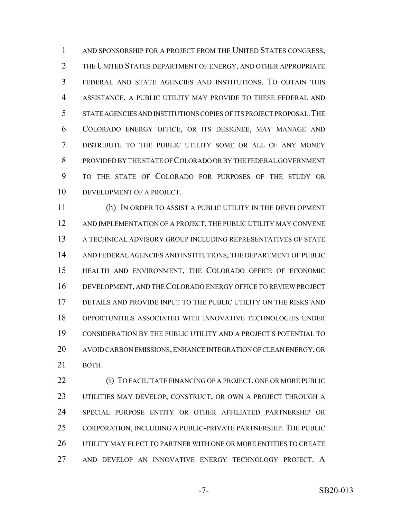1 AND SPONSORSHIP FOR A PROJECT FROM THE UNITED STATES CONGRESS, THE UNITED STATES DEPARTMENT OF ENERGY, AND OTHER APPROPRIATE FEDERAL AND STATE AGENCIES AND INSTITUTIONS. TO OBTAIN THIS ASSISTANCE, A PUBLIC UTILITY MAY PROVIDE TO THESE FEDERAL AND STATE AGENCIES AND INSTITUTIONS COPIES OF ITS PROJECT PROPOSAL.THE COLORADO ENERGY OFFICE, OR ITS DESIGNEE, MAY MANAGE AND DISTRIBUTE TO THE PUBLIC UTILITY SOME OR ALL OF ANY MONEY PROVIDED BY THE STATE OF COLORADO OR BY THE FEDERAL GOVERNMENT TO THE STATE OF COLORADO FOR PURPOSES OF THE STUDY OR DEVELOPMENT OF A PROJECT.

 (h) IN ORDER TO ASSIST A PUBLIC UTILITY IN THE DEVELOPMENT AND IMPLEMENTATION OF A PROJECT, THE PUBLIC UTILITY MAY CONVENE A TECHNICAL ADVISORY GROUP INCLUDING REPRESENTATIVES OF STATE AND FEDERAL AGENCIES AND INSTITUTIONS, THE DEPARTMENT OF PUBLIC HEALTH AND ENVIRONMENT, THE COLORADO OFFICE OF ECONOMIC DEVELOPMENT, AND THE COLORADO ENERGY OFFICE TO REVIEW PROJECT DETAILS AND PROVIDE INPUT TO THE PUBLIC UTILITY ON THE RISKS AND OPPORTUNITIES ASSOCIATED WITH INNOVATIVE TECHNOLOGIES UNDER CONSIDERATION BY THE PUBLIC UTILITY AND A PROJECT'S POTENTIAL TO AVOID CARBON EMISSIONS, ENHANCE INTEGRATION OF CLEAN ENERGY, OR BOTH.

 (i) TO FACILITATE FINANCING OF A PROJECT, ONE OR MORE PUBLIC UTILITIES MAY DEVELOP, CONSTRUCT, OR OWN A PROJECT THROUGH A SPECIAL PURPOSE ENTITY OR OTHER AFFILIATED PARTNERSHIP OR CORPORATION, INCLUDING A PUBLIC-PRIVATE PARTNERSHIP. THE PUBLIC UTILITY MAY ELECT TO PARTNER WITH ONE OR MORE ENTITIES TO CREATE AND DEVELOP AN INNOVATIVE ENERGY TECHNOLOGY PROJECT. A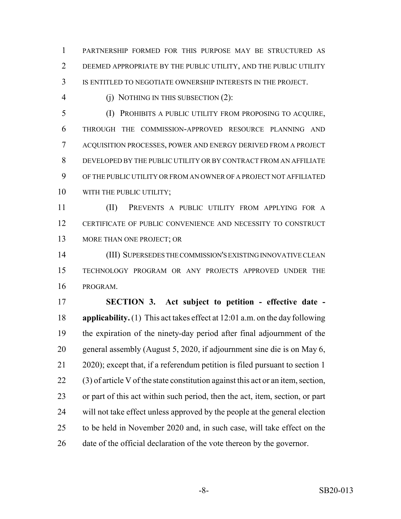PARTNERSHIP FORMED FOR THIS PURPOSE MAY BE STRUCTURED AS DEEMED APPROPRIATE BY THE PUBLIC UTILITY, AND THE PUBLIC UTILITY IS ENTITLED TO NEGOTIATE OWNERSHIP INTERESTS IN THE PROJECT.

4 (i) NOTHING IN THIS SUBSECTION (2):

 (I) PROHIBITS A PUBLIC UTILITY FROM PROPOSING TO ACQUIRE, THROUGH THE COMMISSION-APPROVED RESOURCE PLANNING AND ACQUISITION PROCESSES, POWER AND ENERGY DERIVED FROM A PROJECT DEVELOPED BY THE PUBLIC UTILITY OR BY CONTRACT FROM AN AFFILIATE OF THE PUBLIC UTILITY OR FROM AN OWNER OF A PROJECT NOT AFFILIATED 10 WITH THE PUBLIC UTILITY;

 (II) PREVENTS A PUBLIC UTILITY FROM APPLYING FOR A CERTIFICATE OF PUBLIC CONVENIENCE AND NECESSITY TO CONSTRUCT 13 MORE THAN ONE PROJECT; OR

 (III) SUPERSEDES THE COMMISSION'S EXISTING INNOVATIVE CLEAN TECHNOLOGY PROGRAM OR ANY PROJECTS APPROVED UNDER THE PROGRAM.

 **SECTION 3. Act subject to petition - effective date - applicability.** (1) This act takes effect at 12:01 a.m. on the day following the expiration of the ninety-day period after final adjournment of the general assembly (August 5, 2020, if adjournment sine die is on May 6, 2020); except that, if a referendum petition is filed pursuant to section 1 (3) of article V of the state constitution against this act or an item, section, or part of this act within such period, then the act, item, section, or part will not take effect unless approved by the people at the general election to be held in November 2020 and, in such case, will take effect on the date of the official declaration of the vote thereon by the governor.